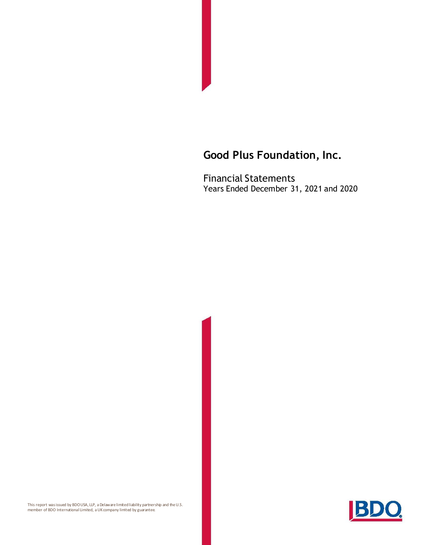Tel: 212-576-1400 Fax: 212-576-1414 **www.bdo.com**

> Financial Statements Years Ended December 31, 2021 and 2020



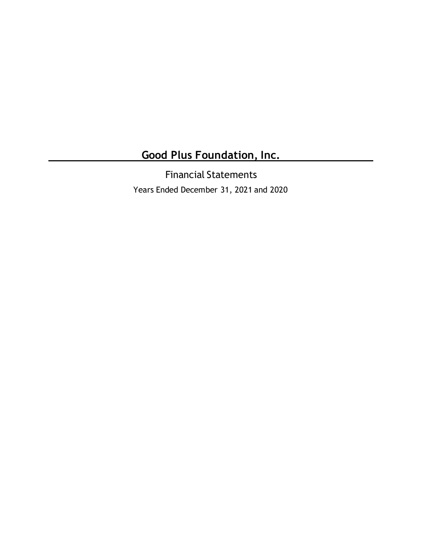Financial Statements Years Ended December 31, 2021 and 2020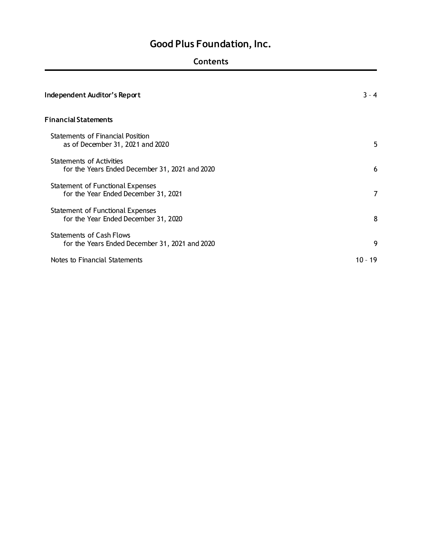## **Contents**

| Independent Auditor's Report                                                      | $3 - 4$ |
|-----------------------------------------------------------------------------------|---------|
| <b>Financial Statements</b>                                                       |         |
| Statements of Financial Position<br>as of December 31, 2021 and 2020              | 5       |
| Statements of Activities<br>for the Years Ended December 31, 2021 and 2020        | 6       |
| Statement of Functional Expenses<br>for the Year Ended December 31, 2021          | 7       |
| Statement of Functional Expenses<br>for the Year Ended December 31, 2020          | 8       |
| <b>Statements of Cash Flows</b><br>for the Years Ended December 31, 2021 and 2020 | 9       |
| Notes to Financial Statements                                                     | 10 - 19 |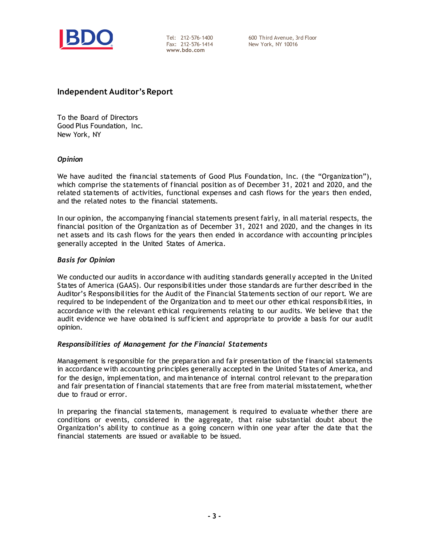

Tel: 212-576-1400 Fax: 212-576-1414 **www.bdo.com**

600 Third Avenue, 3rd Floor New York, NY 10016

### <span id="page-3-0"></span>**Independent Auditor's Report**

To the Board of Directors Good Plus Foundation, Inc. New York, NY

### *Opinion*

We have audited the financial statements of Good Plus Foundation, Inc. (the "Organization"), which comprise the statements of financial position as of December 31, 2021 and 2020, and the related statements of activities, functional expenses and cash flows for the years then ended, and the related notes to the financial statements.

In our opinion, the accompanying financial statements present fairly, in all material respects, the financial position of the Organization as of December 31, 2021 and 2020, and the changes in its net assets and its cash flows for the years then ended in accordance with accounting principles generally accepted in the United States of America.

### *Basis for Opinion*

We conducted our audits in accordance with auditing standards generally accepted in the United States of America (GAAS). Our responsibilities under those standards are further described in the Auditor's Responsibilities for the Audit of the Financial Statements section of our report. We are required to be independent of the Organization and to meet our other ethical responsibilities, in accordance with the relevant ethical requirements relating to our audits. We believe that the audit evidence we have obtained is sufficient and appropriate to provide a basis for our audit opinion.

### *Responsibilities of Management for the Financial Statements*

Management is responsible for the preparation and fair presentation of the financial statements in accordance with accounting principles generally accepted in the United States of America, and for the design, implementation, and maintenance of internal control relevant to the preparation and fair presentation of financial statements that are free from material misstatement, whether due to fraud or error.

In preparing the financial statements, management is required to evaluate whether there are conditions or events, considered in the aggregate, that raise substantial doubt about the Organization's ability to continue as a going concern within one year after the date that the financial statements are issued or available to be issued.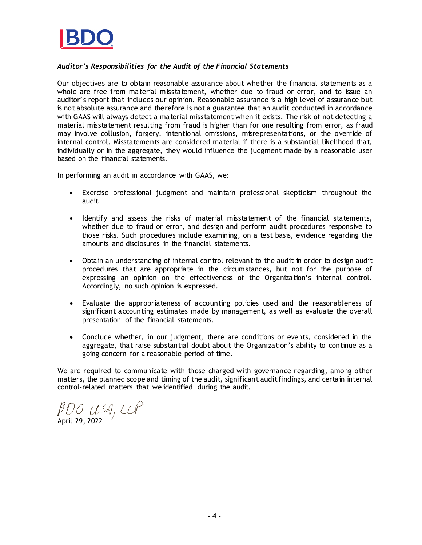

### *Auditor's Responsibilities for the Audit of the Financial Statements*

Our objectives are to obtain reasonable assurance about whether the financial statements as a whole are free from material misstatement, whether due to fraud or error, and to issue an auditor's report that includes our opinion. Reasonable assurance is a high level of assurance but is not absolute assurance and therefore is not a guarantee that an audit conducted in accordance with GAAS will always detect a material misstatement when it exists. The risk of not detecting a material misstatement resulting from fraud is higher than for one resulting from error, as fraud may involve collusion, forgery, intentional omissions, misrepresentations, or the override of internal control. Misstatements are considered material if there is a substantial likelihood that, individually or in the aggregate, they would influence the judgment made by a reasonable user based on the financial statements.

In performing an audit in accordance with GAAS, we:

- Exercise professional judgment and maintain professional skepticism throughout the audit.
- Identify and assess the risks of material misstatement of the financial statements, whether due to fraud or error, and design and perform audit procedures responsive to those risks. Such procedures include examining, on a test basis, evidence regarding the amounts and disclosures in the financial statements.
- Obtain an understanding of internal control relevant to the audit in order to design audit procedures that are appropriate in the circumstances, but not for the purpose of expressing an opinion on the effectiveness of the Organization's internal control. Accordingly, no such opinion is expressed.
- Evaluate the appropriateness of accounting policies used and the reasonableness of significant accounting estimates made by management, as well as evaluate the overall presentation of the financial statements.
- Conclude whether, in our judgment, there are conditions or events, considered in the aggregate, that raise substantial doubt about the Organization's ability to continue as a going concern for a reasonable period of time.

We are required to communicate with those charged with governance regarding, among other matters, the planned scope and timing of the audit, significant auditfindings, and certain internal control-related matters that we identified during the audit.

PDO USA, LP April 29, 2022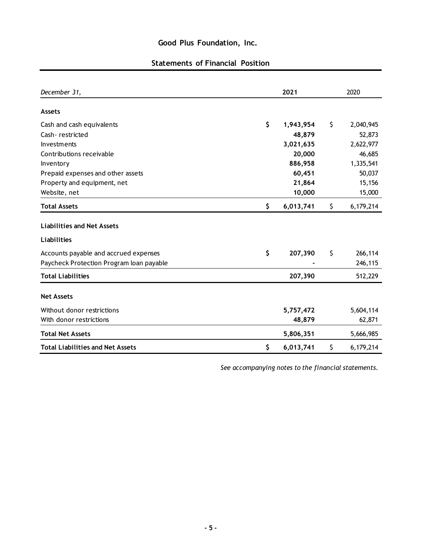### <span id="page-5-0"></span>**Statements of Financial Position**

| December 31,                             | 2021            | 2020            |
|------------------------------------------|-----------------|-----------------|
| Assets                                   |                 |                 |
| Cash and cash equivalents                | \$<br>1,943,954 | \$<br>2,040,945 |
| Cash-restricted                          | 48,879          | 52,873          |
| Investments                              | 3,021,635       | 2,622,977       |
| Contributions receivable                 | 20,000          | 46,685          |
| Inventory                                | 886,958         | 1,335,541       |
| Prepaid expenses and other assets        | 60,451          | 50,037          |
| Property and equipment, net              | 21,864          | 15,156          |
| Website, net                             | 10,000          | 15,000          |
| <b>Total Assets</b>                      | \$<br>6,013,741 | \$<br>6,179,214 |
| <b>Liabilities and Net Assets</b>        |                 |                 |
| Liabilities                              |                 |                 |
| Accounts payable and accrued expenses    | \$<br>207,390   | \$<br>266,114   |
| Paycheck Protection Program loan payable |                 | 246,115         |
| <b>Total Liabilities</b>                 | 207,390         | 512,229         |
| <b>Net Assets</b>                        |                 |                 |
| Without donor restrictions               | 5,757,472       | 5,604,114       |
| With donor restrictions                  | 48,879          | 62,871          |
| <b>Total Net Assets</b>                  | 5,806,351       | 5,666,985       |
| <b>Total Liabilities and Net Assets</b>  | \$<br>6,013,741 | \$<br>6,179,214 |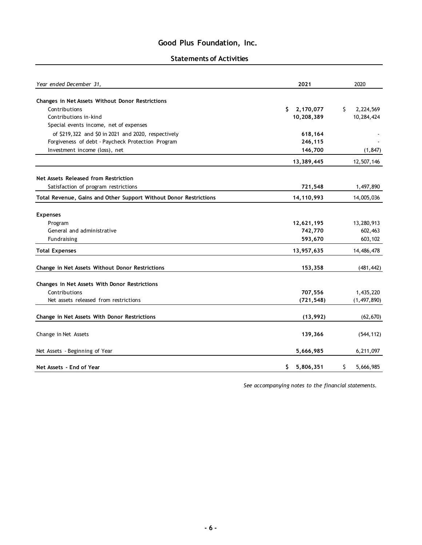| Statements of Activities |  |  |
|--------------------------|--|--|
|--------------------------|--|--|

| Year ended December 31,                                           | 2021            | 2020             |
|-------------------------------------------------------------------|-----------------|------------------|
| Changes in Net Assets Without Donor Restrictions                  |                 |                  |
| Contributions                                                     | 2,170,077<br>S. | \$<br>2,224,569  |
| Contributions in-kind                                             | 10,208,389      | 10,284,424       |
| Special events income, net of expenses                            |                 |                  |
| of \$219,322 and \$0 in 2021 and 2020, respectively               | 618,164         |                  |
| Forgiveness of debt - Paycheck Protection Program                 | 246,115         |                  |
| Investment income (loss), net                                     | 146,700         | (1, 847)         |
|                                                                   | 13,389,445      | 12,507,146       |
| Net Assets Released from Restriction                              |                 |                  |
| Satisfaction of program restrictions                              | 721,548         | 1,497,890        |
| Total Revenue, Gains and Other Support Without Donor Restrictions | 14,110,993      | 14,005,036       |
| <b>Expenses</b>                                                   |                 |                  |
| Program                                                           | 12,621,195      | 13,280,913       |
| General and administrative                                        | 742,770         | 602,463          |
| Fundraising                                                       | 593,670         | 603,102          |
| <b>Total Expenses</b>                                             | 13,957,635      | 14,486,478       |
| Change in Net Assets Without Donor Restrictions                   | 153,358         | (481, 442)       |
| Changes in Net Assets With Donor Restrictions                     |                 |                  |
| Contributions                                                     | 707,556         | 1,435,220        |
| Net assets released from restrictions                             | (721, 548)      | (1, 497, 890)    |
| Change in Net Assets With Donor Restrictions                      | (13,992)        | (62, 670)        |
| Change in Net Assets                                              | 139,366         | (544, 112)       |
| Net Assets - Beginning of Year                                    | 5,666,985       | 6,211,097        |
| Net Assets - End of Year                                          | 5,806,351<br>S  | \$.<br>5,666,985 |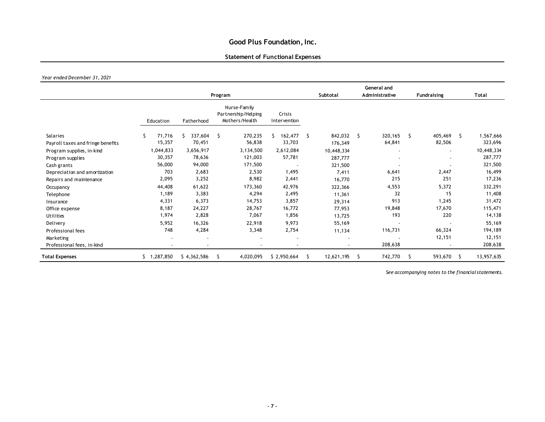#### **Statement of Functional Expenses**

*Year ended December 31, 2021*

|                                               | Program                  |                          |                                                       |                        |    | General and<br>Subtotal<br>Administrative<br><b>Fundraising</b> |    |         |    |                          | Total |                       |
|-----------------------------------------------|--------------------------|--------------------------|-------------------------------------------------------|------------------------|----|-----------------------------------------------------------------|----|---------|----|--------------------------|-------|-----------------------|
|                                               | Education                | Fatherhood               | Nurse-Family<br>Partnership/Helping<br>Mothers/Health | Crisis<br>Intervention |    |                                                                 |    |         |    |                          |       |                       |
| Salaries                                      | 71,716                   | 337,604<br>ς             | 270,235<br>-S                                         | 162,477<br>S.          | -S | 842,032                                                         | \$ | 320,165 | S. | 405,469                  | S.    | 1,567,666             |
| Payroll taxes and fringe benefits             | 15,357                   | 70,451<br>3,656,917      | 56,838<br>3,134,500                                   | 33,703<br>2,612,084    |    | 176,349                                                         |    | 64,841  |    | 82,506                   |       | 323,696<br>10,448,334 |
| Program supplies, in-kind<br>Program supplies | 1,044,833<br>30,357      | 78,636                   | 121,003                                               | 57,781                 |    | 10,448,334<br>287,777                                           |    |         |    | $\overline{\phantom{a}}$ |       | 287,777               |
| Cash grants                                   | 56,000                   | 94,000                   | 171,500                                               |                        |    | 321,500                                                         |    |         |    |                          |       | 321,500               |
| Depreciation and amortization                 | 703                      | 2,683                    | 2,530                                                 | 1,495                  |    | 7,411                                                           |    | 6,641   |    | 2,447                    |       | 16,499                |
| Repairs and maintenance                       | 2,095                    | 3,252                    | 8,982                                                 | 2,441                  |    | 16,770                                                          |    | 215     |    | 251                      |       | 17,236                |
| Occupancy                                     | 44,408                   | 61,622                   | 173,360                                               | 42,976                 |    | 322,366                                                         |    | 4,553   |    | 5,372                    |       | 332,291               |
| Telephone                                     | 1,189                    | 3,383                    | 4,294                                                 | 2,495                  |    | 11,361                                                          |    | 32      |    | 15                       |       | 11,408                |
| Insurance                                     | 4,331                    | 6,373                    | 14,753                                                | 3,857                  |    | 29,314                                                          |    | 913     |    | 1,245                    |       | 31,472                |
| Office expense                                | 8,187                    | 24,227                   | 28,767                                                | 16,772                 |    | 77,953                                                          |    | 19,848  |    | 17,670                   |       | 115,471               |
| Utilities                                     | 1,974                    | 2,828                    | 7,067                                                 | 1,856                  |    | 13,725                                                          |    | 193     |    | 220                      |       | 14,138                |
| Delivery                                      | 5,952                    | 16,326                   | 22,918                                                | 9,973                  |    | 55,169                                                          |    |         |    |                          |       | 55,169                |
| Professional fees                             | 748                      | 4,284                    | 3,348                                                 | 2,754                  |    | 11,134                                                          |    | 116,731 |    | 66,324                   |       | 194,189               |
| Marketing                                     | $\overline{\phantom{a}}$ | $\overline{\phantom{a}}$ | $\overline{\phantom{a}}$                              |                        |    | $\overline{\phantom{a}}$                                        |    |         |    | 12,151                   |       | 12,151                |
| Professional fees, in-kind                    | $\overline{\phantom{a}}$ | $\overline{\phantom{a}}$ | $\overline{\phantom{a}}$                              |                        |    |                                                                 |    | 208,638 |    |                          |       | 208,638               |
| <b>Total Expenses</b>                         | \$1,287,850              | \$4,362,586              | 4,020,095                                             | \$2,950,664            |    | 12,621,195                                                      | s  | 742,770 | S. | 593,670                  | -S    | 13,957,635            |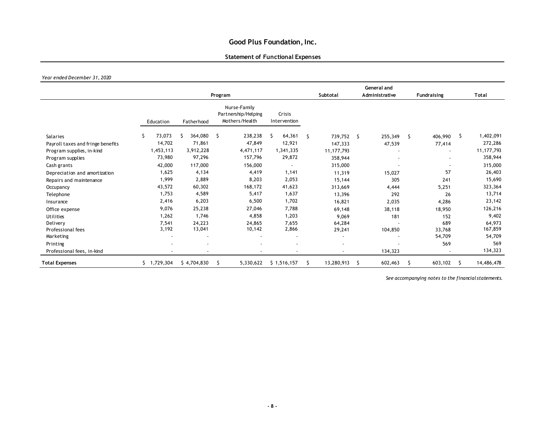#### **Statement of Functional Expenses**

*Year ended December 31, 2020*

|                                   | Program                  |             |                                                       |                        | Subtotal                 | <b>Total</b>             |                     |              |
|-----------------------------------|--------------------------|-------------|-------------------------------------------------------|------------------------|--------------------------|--------------------------|---------------------|--------------|
|                                   | Education                | Fatherhood  | Nurse-Family<br>Partnership/Helping<br>Mothers/Health | Crisis<br>Intervention |                          |                          |                     |              |
| <b>Salaries</b>                   | 73,073<br>S.             | 364,080     | S.<br>238,238                                         | 64,361<br>S<br>Ś.      | 739,752                  | 255,349<br>-S            | S.<br>Š.<br>406,990 | 1,402,091    |
| Payroll taxes and fringe benefits | 14,702                   | 71,861      | 47,849                                                | 12,921                 | 147,333                  | 47,539                   | 77,414              | 272,286      |
| Program supplies, in-kind         | 1,453,113                | 3,912,228   | 4,471,117                                             | 1,341,335              | 11, 177, 793             | $\overline{\phantom{a}}$ |                     | 11, 177, 793 |
| Program supplies                  | 73,980                   | 97,296      | 157,796                                               | 29,872                 | 358,944                  |                          |                     | 358,944      |
| Cash grants                       | 42,000                   | 117,000     | 156,000                                               |                        | 315,000                  |                          |                     | 315,000      |
| Depreciation and amortization     | 1,625                    | 4,134       | 4,419                                                 | 1,141                  | 11,319                   | 15,027                   | 57                  | 26,403       |
| Repairs and maintenance           | 1,999                    | 2,889       | 8,203                                                 | 2,053                  | 15,144                   | 305                      | 241                 | 15,690       |
| Occupancy                         | 43,572                   | 60,302      | 168,172                                               | 41,623                 | 313,669                  | 4,444                    | 5,251               | 323,364      |
| Telephone                         | 1,753                    | 4,589       | 5,417                                                 | 1,637                  | 13,396                   | 292                      | 26                  | 13,714       |
| Insurance                         | 2,416                    | 6,203       | 6,500                                                 | 1,702                  | 16,821                   | 2,035                    | 4,286               | 23,142       |
| Office expense                    | 9,076                    | 25,238      | 27,046                                                | 7,788                  | 69,148                   | 38,118                   | 18,950              | 126,216      |
| <b>Utilities</b>                  | 1,262                    | 1,746       | 4,858                                                 | 1,203                  | 9,069                    | 181                      | 152                 | 9,402        |
| Delivery                          | 7,541                    | 24,223      | 24,865                                                | 7,655                  | 64,284                   |                          | 689                 | 64,973       |
| Professional fees                 | 3,192                    | 13,041      | 10,142                                                | 2,866                  | 29,241                   | 104,850                  | 33,768              | 167,859      |
| Marketing                         | $\overline{\phantom{a}}$ |             |                                                       |                        | $\blacksquare$           |                          | 54,709              | 54,709       |
| Printing                          |                          |             |                                                       |                        | $\overline{\phantom{a}}$ |                          | 569                 | 569          |
| Professional fees, in-kind        |                          |             |                                                       |                        |                          | 134,323                  |                     | 134,323      |
| <b>Total Expenses</b>             | \$1,729,304              | \$4,704,830 | 5,330,622<br>-S                                       | \$1,516,157<br>\$      | 13,280,913               | S.<br>602,463            | -S<br>603,102<br>Š. | 14,486,478   |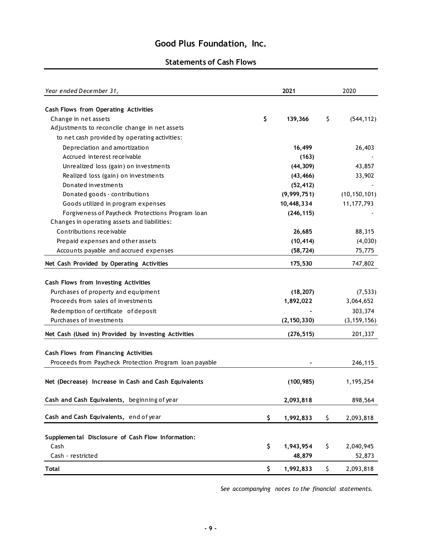### **Statements of Cash Flows**

| Year ended December 31,                                | 2021            | 2020             |
|--------------------------------------------------------|-----------------|------------------|
| Cash Flows from Operating Activities                   |                 |                  |
| Change in net assets                                   | \$<br>139,366   | \$<br>(544, 112) |
| Adjustments to reconcile change in net assets          |                 |                  |
| to net cash provided by operating activities:          |                 |                  |
| Depreciation and amortization                          | 16,499          | 26,403           |
| Accrued interest receivable                            | (163)           |                  |
| Unrealized loss (gain) on investments                  | (44, 309)       | 43,857           |
| Realized loss (gain) on investments                    | (43, 466)       | 33,902           |
| Donated investments                                    | (52, 412)       |                  |
| Donated goods - contributions                          | (9,999,751)     | (10, 150, 101)   |
| Goods utilized in program expenses                     | 10,448,334      | 11, 177, 793     |
| Forgiveness of Paycheck Protections Program loan       | (246, 115)      |                  |
| Changes in operating assets and liabilities:           |                 |                  |
| Contributions receivable                               | 26,685          | 88,315           |
| Prepaid expenses and other assets                      | (10, 414)       | (4,030)          |
| Accounts payable and accrued expenses                  | (58, 724)       | 75,775           |
| Net Cash Provided by Operating Activities              | 175,530         | 747,802          |
|                                                        |                 |                  |
| Cash Flows from Investing Activities                   |                 |                  |
| Purchases of property and equipment                    | (18, 207)       | (7, 533)         |
| Proceeds from sales of investments                     | 1,892,022       | 3,064,652        |
| Redemption of certificate of deposit                   |                 | 303,374          |
| Purchases of investments                               | (2, 150, 330)   | (3, 159, 156)    |
| Net Cash (Used in) Provided by Investing Activities    | (276, 515)      | 201,337          |
|                                                        |                 |                  |
| Cash Flows from Financing Activities                   |                 |                  |
| Proceeds from Paycheck Protection Program loan payable |                 | 246,115          |
| Net (Decrease) Increase in Cash and Cash Equivalents   | (100, 985)      | 1,195,254        |
| Cash and Cash Equivalents, beginning of year           | 2,093,818       | 898,564          |
| Cash and Cash Equivalents, end of year                 | \$<br>1,992,833 | \$<br>2,093,818  |
|                                                        |                 |                  |
| Supplemental Disclosure of Cash Flow Information:      |                 |                  |
| Cash                                                   | \$<br>1,943,954 | \$<br>2,040,945  |
| Cash - restricted                                      | 48,879          | 52,873           |
| Total                                                  | \$<br>1,992,833 | \$<br>2,093,818  |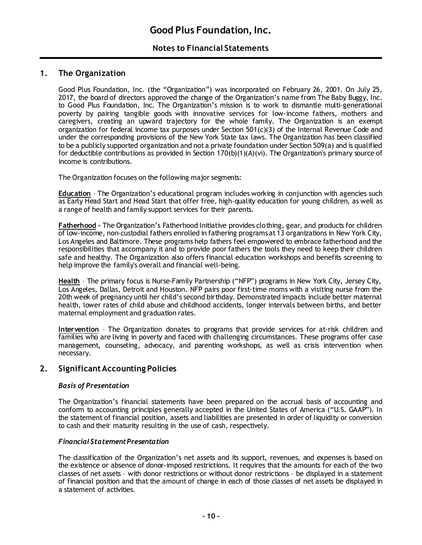### **1. The Organization**

Good Plus Foundation, Inc. (the "Organization") was incorporated on February 26, 2001. On July 25, 2017, the board of directors approved the change of the Organization's name from The Baby Buggy, Inc. to Good Plus Foundation, Inc. The Organization's mission is to work to dismantle multi-generational poverty by pairing tangible goods with innovative services for low-income fathers, mothers and caregivers, creating an upward trajectory for the whole family. The Organization is an exempt organization for federal income tax purposes under Section  $501(c)(3)$  of the Internal Revenue Code and under the corresponding provisions of the New York State tax laws. The Organization has been classified to be a publicly supported organization and not a private foundation under Section 509(a) and is qualified for deductible contributions as provided in Section  $170(b)(1)(A)(vi)$ . The Organization's primary source of income is contributions.

The Organization focuses on the following major segments:

**Education** – The Organization's educational program includes working in conjunction with agencies such as Early Head Start and Head Start that offer free, high-quality education for young children, as well as a range of health and family support services for their parents.

**Fatherhood -** The Organization's Fatherhood Initiative provides clothing, gear, and products for children of low-income, non-custodial fathers enrolled in fathering programs at 13 organizations in New York City, Los Angeles and Baltimore. These programs help fathers feel empowered to embrace fatherhood and the responsibilities that accompany it and to provide poor fathers the tools they need to keep their children safe and healthy. The Organization also offers financial education workshops and benefits screening to help improve the family's overall and financial well-being.

**Health** – The primary focus is Nurse-Family Partnership ("NFP") programs in New York City, Jersey City, Los Angeles, Dallas, Detroit and Houston. NFP pairs poor first-time moms with a visiting nurse from the 20th week of pregnancy until her child's second birthday. Demonstrated impacts include better maternal health, lower rates of child abuse and childhood accidents, longer intervals between births, and better maternal employment and graduation rates.

**Intervention** – The Organization donates to programs that provide services for at-risk children and families who are living in poverty and faced with challenging circumstances. These programs offer case management, counseling, advocacy, and parenting workshops, as well as crisis intervention when necessary.

### **2. SignificantAccounting Policies**

### *Basis of Presentation*

The Organization's financial statements have been prepared on the accrual basis of accounting and conform to accounting principles generally accepted in the United States of America ("U.S. GAAP"). In the statement of financial position, assets and liabilities are presented in order of liquidity or conversion to cash and their maturity resulting in the use of cash, respectively.

### *Financial StatementPresentation*

The classification of the Organization's net assets and its support, revenues, and expenses is based on the existence or absence of donor-imposed restrictions. It requires that the amounts for each of the two classes of net assets – with donor restrictions or without donor restrictions – be displayed in a statement of financial position and that the amount of change in each of those classes of net assets be displayed in a statement of activities.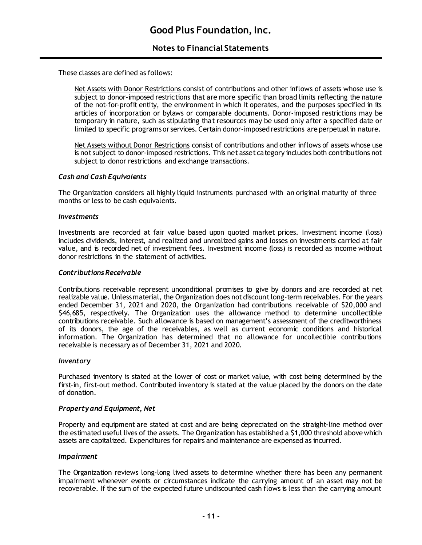These classes are defined as follows:

Net Assets with Donor Restrictions consist of contributions and other inflows of assets whose use is subject to donor-imposed restrictions that are more specific than broad limits reflecting the nature of the not-for-profit entity, the environment in which it operates, and the purposes specified in its articles of incorporation or bylaws or comparable documents. Donor-imposed restrictions may be temporary in nature, such as stipulating that resources may be used only after a specified date or limited to specific programsor services. Certain donor-imposedrestrictions are perpetual in nature.

Net Assets without Donor Restrictions consist of contributions and other inflows of assets whose use is not subject to donor-imposed restrictions. This net asset category includes both contributions not subject to donor restrictions and exchange transactions.

### *Cash and Cash Equivalents*

The Organization considers all highly liquid instruments purchased with an original maturity of three months or less to be cash equivalents.

#### *Investments*

Investments are recorded at fair value based upon quoted market prices. Investment income (loss) includes dividends, interest, and realized and unrealized gains and losses on investments carried at fair value, and is recorded net of investment fees. Investment income (loss) is recorded as income without donor restrictions in the statement of activities.

#### *Contributions Receivable*

Contributions receivable represent unconditional promises to give by donors and are recorded at net realizable value. Unlessmaterial, the Organization does not discountlong-term receivables. For the years ended December 31, 2021 and 2020, the Organization had contributions receivable of \$20,000 and \$46,685, respectively. The Organization uses the allowance method to determine uncollectible contributions receivable. Such allowance is based on management's assessment of the creditworthiness of its donors, the age of the receivables, as well as current economic conditions and historical information. The Organization has determined that no allowance for uncollectible contributions receivable is necessary as of December 31, 2021 and 2020.

#### *Inventory*

Purchased inventory is stated at the lower of cost or market value, with cost being determined by the first-in, first-out method. Contributed inventory is stated at the value placed by the donors on the date of donation.

### *Propertyand Equipment, Net*

Property and equipment are stated at cost and are being depreciated on the straight-line method over the estimated useful lives of the assets. The Organization has established a \$1,000 threshold abovewhich assets are capitalized. Expenditures for repairs and maintenance are expensed as incurred.

#### *Impairment*

The Organization reviews long-long lived assets to determine whether there has been any permanent impairment whenever events or circumstances indicate the carrying amount of an asset may not be recoverable. If the sum of the expected future undiscounted cash flows is less than the carrying amount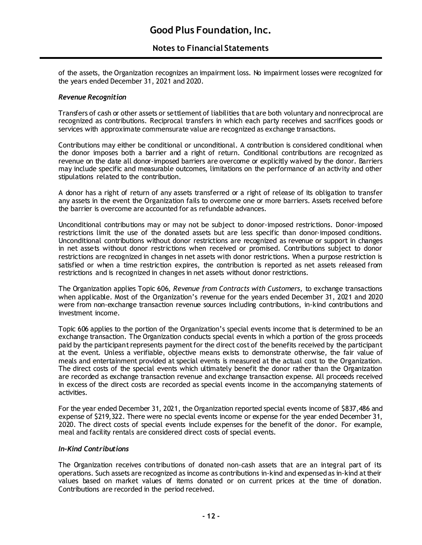of the assets, the Organization recognizes an impairment loss. No impairment losses were recognized for the years ended December 31, 2021 and 2020.

#### *Revenue Recognition*

Transfers of cash or other assets or settlement of liabilities that are both voluntary and nonreciprocal are recognized as contributions. Reciprocal transfers in which each party receives and sacrifices goods or services with approximate commensurate value are recognized as exchange transactions.

Contributions may either be conditional or unconditional. A contribution is considered conditional when the donor imposes both a barrier and a right of return. Conditional contributions are recognized as revenue on the date all donor-imposed barriers are overcome or explicitly waived by the donor. Barriers may include specific and measurable outcomes, limitations on the performance of an activity and other stipulations related to the contribution.

A donor has a right of return of any assets transferred or a right of release of its obligation to transfer any assets in the event the Organization fails to overcome one or more barriers. Assets received before the barrier is overcome are accounted for as refundable advances.

Unconditional contributions may or may not be subject to donor-imposed restrictions. Donor-imposed restrictions limit the use of the donated assets but are less specific than donor-imposed conditions. Unconditional contributions without donor restrictions are recognized as revenue or support in changes in net assets without donor restrictions when received or promised. Contributions subject to donor restrictions are recognized in changes in net assets with donor restrictions. When a purpose restriction is satisfied or when a time restriction expires, the contribution is reported as net assets released from restrictions and is recognized in changes in net assets without donor restrictions.

The Organization applies Topic 606, *Revenue from Contracts with Customers,* to exchange transactions when applicable. Most of the Organization's revenue for the years ended December 31, 2021 and 2020 were from non-exchange transaction revenue sources including contributions, in-kind contributions and investment income.

Topic 606 applies to the portion of the Organization's special events income that is determined to be an exchange transaction. The Organization conducts special events in which a portion of the gross proceeds paid by the participant represents payment for the direct cost of the benefits received by the participant at the event. Unless a verifiable, objective means exists to demonstrate otherwise, the fair value of meals and entertainment provided at special events is measured at the actual cost to the Organization. The direct costs of the special events which ultimately benefit the donor rather than the Organization are recorded as exchange transaction revenue and exchange transaction expense. All proceeds received in excess of the direct costs are recorded as special events income in the accompanying statements of activities.

For the year ended December 31, 2021, the Organization reported special events income of \$837,486 and expense of \$219,322. There were no special events income or expense for the year ended December 31, 2020. The direct costs of special events include expenses for the benefit of the donor. For example, meal and facility rentals are considered direct costs of special events.

#### *In-Kind Contributions*

The Organization receives contributions of donated non-cash assets that are an integral part of its operations. Such assets are recognized as income as contributions in-kind and expensed as in-kind at their values based on market values of items donated or on current prices at the time of donation. Contributions are recorded in the period received.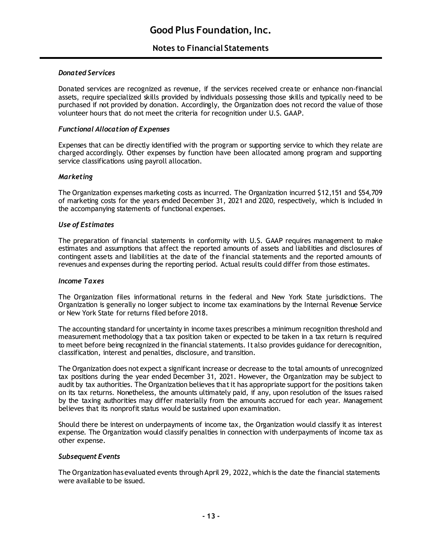#### *Donated Services*

Donated services are recognized as revenue, if the services received create or enhance non-financial assets, require specialized skills provided by individuals possessing those skills and typically need to be purchased if not provided by donation. Accordingly, the Organization does not record the value of those volunteer hours that do not meet the criteria for recognition under U.S. GAAP.

#### *Functional Allocation of Expenses*

Expenses that can be directly identified with the program or supporting service to which they relate are charged accordingly. Other expenses by function have been allocated among program and supporting service classifications using payroll allocation.

#### *Marketing*

The Organization expenses marketing costs as incurred. The Organization incurred \$12,151 and \$54,709 of marketing costs for the years ended December 31, 2021 and 2020, respectively, which is included in the accompanying statements of functional expenses.

#### *Use of Estimates*

The preparation of financial statements in conformity with U.S. GAAP requires management to make estimates and assumptions that affect the reported amounts of assets and liabilities and disclosures of contingent assets and liabilities at the date of the financial statements and the reported amounts of revenues and expenses during the reporting period. Actual results could differ from those estimates.

#### *Income Taxes*

The Organization files informational returns in the federal and New York State jurisdictions. The Organization is generally no longer subject to income tax examinations by the Internal Revenue Service or New York State for returns filed before 2018.

The accounting standard for uncertainty in income taxes prescribes a minimum recognition threshold and measurement methodology that a tax position taken or expected to be taken in a tax return is required to meet before being recognized in the financial statements. It also provides guidance for derecognition, classification, interest and penalties, disclosure, and transition.

The Organization does not expect a significant increase or decrease to the total amounts of unrecognized tax positions during the year ended December 31, 2021. However, the Organization may be subject to audit by tax authorities. The Organization believes that it has appropriate support for the positions taken on its tax returns. Nonetheless, the amounts ultimately paid, if any, upon resolution of the issues raised by the taxing authorities may differ materially from the amounts accrued for each year. Management believes that its nonprofit status would be sustained upon examination.

Should there be interest on underpayments of income tax, the Organization would classify it as interest expense. The Organization would classify penalties in connection with underpayments of income tax as other expense.

#### *Subsequent Events*

The Organization hasevaluated events throughApril 29, 2022, which is the date the financial statements were available to be issued.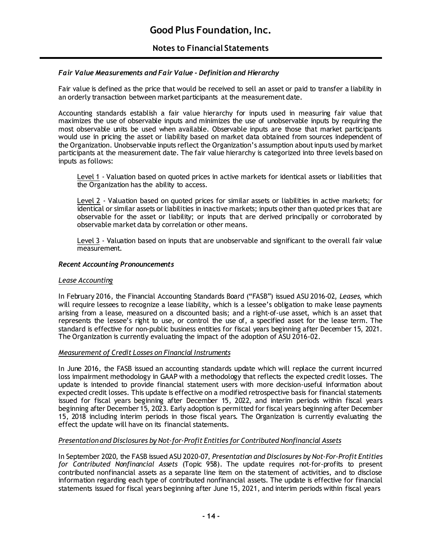### *Fair Value Measurements and FairValue - Definition and Hierarchy*

Fair value is defined as the price that would be received to sell an asset or paid to transfer a liability in an orderly transaction between market participants at the measurement date.

Accounting standards establish a fair value hierarchy for inputs used in measuring fair value that maximizes the use of observable inputs and minimizes the use of unobservable inputs by requiring the most observable units be used when available. Observable inputs are those that market participants would use in pricing the asset or liability based on market data obtained from sources independent of the Organization. Unobservable inputs reflect the Organization's assumption aboutinputs used by market participants at the measurement date. The fair value hierarchy is categorized into three levels based on inputs as follows:

Level 1 - Valuation based on quoted prices in active markets for identical assets or liabilities that the Organization has the ability to access.

Level 2 - Valuation based on quoted prices for similar assets or liabilities in active markets; for identical or similar assets or liabilities in inactive markets; inputs other than quoted prices that are observable for the asset or liability; or inputs that are derived principally or corroborated by observable market data by correlation or other means.

Level 3 - Valuation based on inputs that are unobservable and significant to the overall fair value measurement.

#### *Recent Accounting Pronouncements*

### *Lease Accounting*

In February 2016, the Financial Accounting Standards Board ("FASB") issued ASU 2016-02, *Leases*, which will require lessees to recognize a lease liability, which is a lessee's obligation to make lease payments arising from a lease, measured on a discounted basis; and a right-of-use asset, which is an asset that represents the lessee's right to use, or control the use of, a specified asset for the lease term. The standard is effective for non-public business entities for fiscal years beginning after December 15, 2021. The Organization is currently evaluating the impact of the adoption of ASU 2016-02.

### *Measurement of Credit Losses on Financial Instruments*

In June 2016, the FASB issued an accounting standards update which will replace the current incurred loss impairment methodology in GAAP with a methodology that reflects the expected credit losses. The update is intended to provide financial statement users with more decision-useful information about expected credit losses. This update is effective on a modified retrospective basis for financial statements issued for fiscal years beginning after December 15, 2022, and interim periods within fiscal years beginning after December 15, 2023. Early adoption is permitted for fiscal years beginning after December 15, 2018 including interim periods in those fiscal years. The Organization is currently evaluating the effect the update will have on its financial statements.

### *Presentation and Disclosures by Not-for-Profit Entities for Contributed Nonfinancial Assets*

In September 2020, the FASB issued ASU 2020-07, *Presentation and Disclosures by Not-For-Profit Entities for Contributed Nonfinancial Assets* (Topic 958). The update requires not-for-profits to present contributed nonfinancial assets as a separate line item on the statement of activities, and to disclose information regarding each type of contributed nonfinancial assets. The update is effective for financial statements issued for fiscal years beginning after June 15, 2021, and interim periods within fiscal years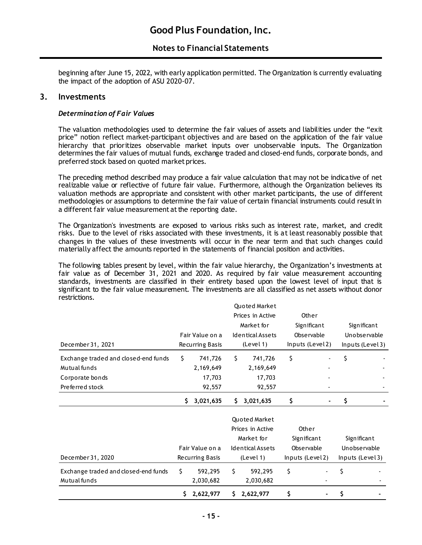beginning after June 15, 2022, with early application permitted. The Organization is currently evaluating the impact of the adoption of ASU 2020-07.

### **3. Investments**

### *Determination of Fair Values*

The valuation methodologies used to determine the fair values of assets and liabilities under the "exit price" notion reflect market-participant objectives and are based on the application of the fair value hierarchy that prioritizes observable market inputs over unobservable inputs. The Organization determines the fair values of mutual funds, exchange traded and closed-end funds, corporate bonds, and preferred stock based on quoted market prices.

The preceding method described may produce a fair value calculation that may not be indicative of net realizable value or reflective of future fair value. Furthermore, although the Organization believes its valuation methods are appropriate and consistent with other market participants, the use of different methodologies or assumptions to determine the fair value of certain financial instruments could resultin a different fair value measurement at the reporting date.

The Organization's investments are exposed to various risks such as interest rate, market, and credit risks. Due to the level of risks associated with these investments, it is at least reasonably possible that changes in the values of these investments will occur in the near term and that such changes could materially affect the amounts reported in the statements of financial position and activities.

The following tables present by level, within the fair value hierarchy, the Organization's investments at fair value as of December 31, 2021 and 2020. As required by fair value measurement accounting standards, investments are classified in their entirety based upon the lowest level of input that is significant to the fair value measurement. The investments are all classified as net assets without donor restrictions.

| December 31, 2021                                                                          |     | Fair Value on a<br>Recurring Basis       |     | Quoted Market<br>Prices in Active<br>Market for<br>Identical Assets<br>(Level 1) |                                          | Other<br>Significant<br>Observable<br>Inputs (Level 2) |    | Significant<br>Unobservable<br>Inputs (Level 3) |
|--------------------------------------------------------------------------------------------|-----|------------------------------------------|-----|----------------------------------------------------------------------------------|------------------------------------------|--------------------------------------------------------|----|-------------------------------------------------|
| Exchange traded and closed-end funds<br>Mutual funds<br>Corporate bonds<br>Preferred stock | \$. | 741,726<br>2,169,649<br>17,703<br>92,557 | \$. | 741,726<br>2,169,649<br>17,703<br>92,557                                         | \$                                       |                                                        | \$ |                                                 |
|                                                                                            | \$. | 3,021,635<br>Fair Value on a             | S.  | 3,021,635<br>Quoted Market<br>Prices in Active<br>Market for<br>Identical Assets | \$<br>Other<br>Significant<br>Observable |                                                        | Ş  | Significant<br>Unobservable                     |
| December 31, 2020                                                                          |     | Recurring Basis                          |     | (Level 1)                                                                        | Inputs (Level 2)                         |                                                        |    | Inputs (Level 3)                                |
| Exchange traded and closed-end funds<br>Mutual funds                                       | \$  | 592,295<br>2,030,682                     | Ś.  | 592,295<br>2,030,682                                                             | \$                                       |                                                        | \$ |                                                 |
|                                                                                            | \$  | 2,622,977                                |     | 2,622,977                                                                        | \$                                       |                                                        | \$ |                                                 |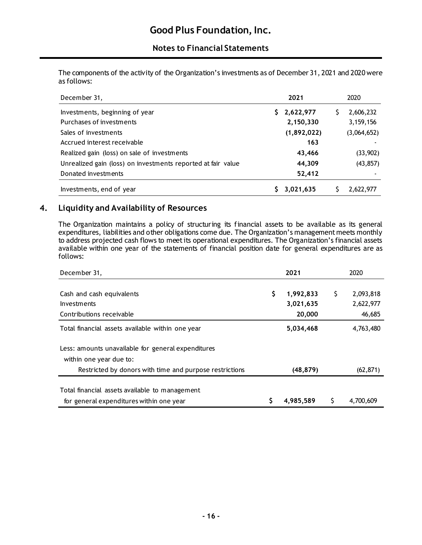The components of the activity of the Organization's investments as of December 31, 2021 and 2020 were as follows:

| December 31,                                                 | 2021            | 2020           |
|--------------------------------------------------------------|-----------------|----------------|
| Investments, beginning of year                               | 2,622,977<br>S. | 2,606,232<br>S |
| Purchases of investments                                     | 2,150,330       | 3,159,156      |
| Sales of investments                                         | (1,892,022)     | (3,064,652)    |
| Accrued interest receivable                                  | 163             |                |
| Realized gain (loss) on sale of investments                  | 43,466          | (33,902)       |
| Unrealized gain (loss) on investments reported at fair value | 44,309          | (43, 857)      |
| Donated investments                                          | 52,412          |                |
| Investments, end of year                                     | 3,021,635       | 2,622,977      |

### **4. Liquidity and Availability of Resources**

The Organization maintains a policy of structuring its financial assets to be available as its general expenditures, liabilities and other obligations come due. The Organization's management meets monthly to address projected cash flows to meetits operational expenditures. The Organization's financial assets available within one year of the statements of financial position date for general expenditures are as follows:

| December 31,                                            | 2021 |           |    | 2020      |  |  |
|---------------------------------------------------------|------|-----------|----|-----------|--|--|
|                                                         |      |           |    |           |  |  |
| Cash and cash equivalents                               | \$   | 1,992,833 | \$ | 2,093,818 |  |  |
| <b>Investments</b>                                      |      | 3,021,635 |    | 2,622,977 |  |  |
| Contributions receivable                                |      | 20,000    |    | 46,685    |  |  |
| Total financial assets available within one year        |      | 5,034,468 |    | 4,763,480 |  |  |
| Less: amounts unavailable for general expenditures      |      |           |    |           |  |  |
| within one year due to:                                 |      |           |    |           |  |  |
| Restricted by donors with time and purpose restrictions |      | (48, 879) |    | (62, 871) |  |  |
| Total financial assets available to management          |      |           |    |           |  |  |
| for general expenditures within one year                |      | 4,985,589 |    | 4,700,609 |  |  |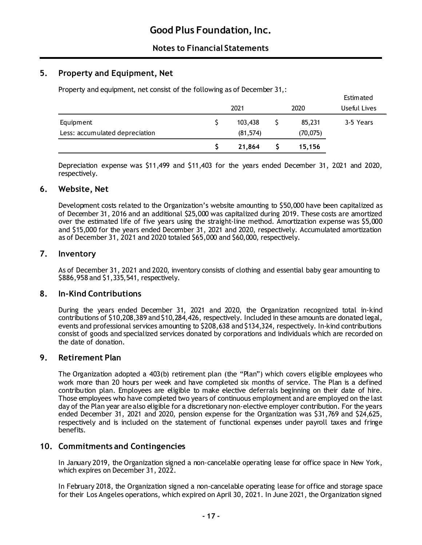### **5. Property and Equipment, Net**

Property and equipment, net consist of the following as of December 31,:

|                                             | 2021 |                      | 2020                | Estimated<br>Useful Lives |
|---------------------------------------------|------|----------------------|---------------------|---------------------------|
| Equipment<br>Less: accumulated depreciation |      | 103,438<br>(81, 574) | 85,231<br>(70, 075) | 3-5 Years                 |
|                                             |      | 21,864               | 15,156              |                           |

Depreciation expense was \$11,499 and \$11,403 for the years ended December 31, 2021 and 2020, respectively.

### **6. Website, Net**

Development costs related to the Organization's website amounting to \$50,000 have been capitalized as of December 31, 2016 and an additional \$25,000 was capitalized during 2019. These costs are amortized over the estimated life of five years using the straight-line method. Amortization expense was \$5,000 and \$15,000 for the years ended December 31, 2021 and 2020, respectively. Accumulated amortization as of December 31, 2021 and 2020 totaled \$65,000 and \$60,000, respectively.

### **7. Inventory**

As of December 31, 2021 and 2020, inventory consists of clothing and essential baby gear amounting to \$886,958 and \$1,335,541, respectively.

### **8. In-Kind Contributions**

During the years ended December 31, 2021 and 2020, the Organization recognized total in-kind contributions of \$10,208,389 and\$10,284,426, respectively. Included in these amounts are donated legal, events and professional services amounting to \$208,638 and \$134,324, respectively. In-kind contributions consist of goods and specialized services donated by corporations and individuals which are recorded on the date of donation.

### **9. Retirement Plan**

The Organization adopted a 403(b) retirement plan (the "Plan") which covers eligible employees who work more than 20 hours per week and have completed six months of service. The Plan is a defined contribution plan. Employees are eligible to make elective deferrals beginning on their date of hire. Those employees who have completed two years of continuous employment and are employed on the last day of the Plan year are also eligible for a discretionary non-elective employer contribution. For the years ended December 31, 2021 and 2020, pension expense for the Organization was \$31,769 and \$24,625, respectively and is included on the statement of functional expenses under payroll taxes and fringe benefits.

### **10. Commitments and Contingencies**

In January 2019, the Organization signed a non-cancelable operating lease for office space in New York, which expires on December 31, 2022.

In February 2018, the Organization signed a non-cancelable operating lease for office and storage space for their Los Angeles operations, which expired on April 30, 2021. In June 2021, the Organization signed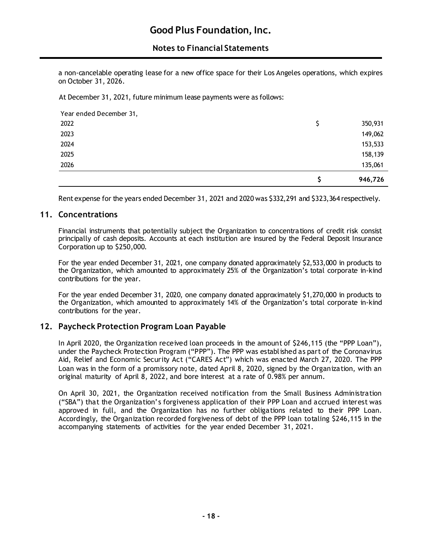a non-cancelable operating lease for a new office space for their Los Angeles operations, which expires on October 31, 2026.

At December 31, 2021, future minimum lease payments were as follows:

|                         | 946,726 |
|-------------------------|---------|
| 2026                    | 135,061 |
| 2025                    | 158,139 |
| 2024                    | 153,533 |
| 2023                    | 149,062 |
| 2022                    | 350,931 |
| Year ended December 31, |         |

Rent expense for the years ended December 31, 2021 and 2020 was \$332,291 and \$323,364 respectively.

### **11. Concentrations**

Financial instruments that potentially subject the Organization to concentrations of credit risk consist principally of cash deposits. Accounts at each institution are insured by the Federal Deposit Insurance Corporation up to \$250,000.

For the year ended December 31, 2021, one company donated approximately \$2,533,000 in products to the Organization, which amounted to approximately 25% of the Organization's total corporate in-kind contributions for the year.

For the year ended December 31, 2020, one company donated approximately \$1,270,000 in products to the Organization, which amounted to approximately 14% of the Organization's total corporate in-kind contributions for the year.

### **12. Paycheck Protection Program Loan Payable**

In April 2020, the Organization received loan proceeds in the amount of \$246,115 (the "PPP Loan"), under the Paycheck Protection Program ("PPP"). The PPP was established as part of the Coronavirus Aid, Relief and Economic Security Act ("CARES Act") which was enacted March 27, 2020. The PPP Loan was in the form of a promissory note, dated April 8, 2020, signed by the Organization, with an original maturity of April 8, 2022, and bore interest at a rate of 0.98% per annum.

On April 30, 2021, the Organization received notification from the Small Business Administration ("SBA") that the Organization's forgiveness application of their PPP Loan and accrued interest was approved in full, and the Organization has no further obligations related to their PPP Loan. Accordingly, the Organization recorded forgiveness of debt of the PPP loan totaling \$246,115 in the accompanying statements of activities for the year ended December 31, 2021.